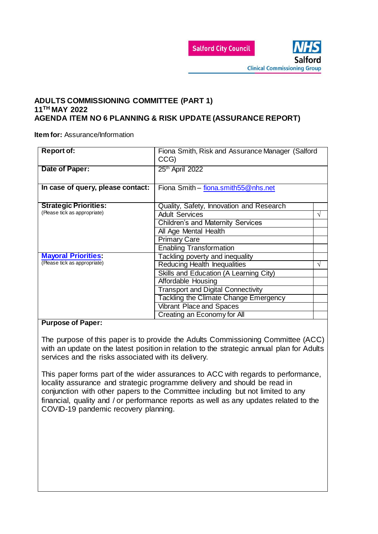

### **ADULTS COMMISSIONING COMMITTEE (PART 1) 11TH MAY 2022 AGENDA ITEM NO 6 PLANNING & RISK UPDATE (ASSURANCE REPORT)**

**Item for: Assurance/Information** 

| <b>Report of:</b>                 | Fiona Smith, Risk and Assurance Manager (Salford<br>CCG) |   |
|-----------------------------------|----------------------------------------------------------|---|
| Date of Paper:                    | 25 <sup>th</sup> April 2022                              |   |
| In case of query, please contact: | Fiona Smith - fiona.smith55@nhs.net                      |   |
| <b>Strategic Priorities:</b>      | Quality, Safety, Innovation and Research                 |   |
| (Please tick as appropriate)      | <b>Adult Services</b>                                    | V |
|                                   | <b>Children's and Maternity Services</b>                 |   |
|                                   | All Age Mental Health                                    |   |
|                                   | <b>Primary Care</b>                                      |   |
|                                   | <b>Enabling Transformation</b>                           |   |
| <b>Mayoral Priorities:</b>        | Tackling poverty and inequality                          |   |
| (Please tick as appropriate)      | <b>Reducing Health Inequalities</b>                      | V |
|                                   | Skills and Education (A Learning City)                   |   |
|                                   | Affordable Housing                                       |   |
|                                   | <b>Transport and Digital Connectivity</b>                |   |
|                                   | Tackling the Climate Change Emergency                    |   |
|                                   | <b>Vibrant Place and Spaces</b>                          |   |
|                                   | Creating an Economy for All                              |   |

#### **Purpose of Paper:**

The purpose of this paper is to provide the Adults Commissioning Committee (ACC) with an update on the latest position in relation to the strategic annual plan for Adults services and the risks associated with its delivery.

This paper forms part of the wider assurances to ACC with regards to performance, locality assurance and strategic programme delivery and should be read in conjunction with other papers to the Committee including but not limited to any financial, quality and / or performance reports as well as any updates related to the COVID-19 pandemic recovery planning.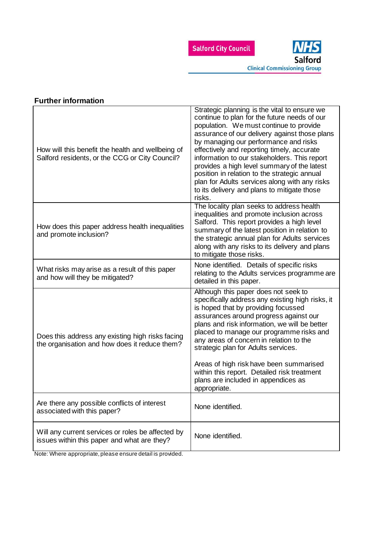

| ו עונוסו וווטוווומנוטוו                                                                             |                                                                                                                                                                                                                                                                                                                                                                                                                                                                                                                                          |
|-----------------------------------------------------------------------------------------------------|------------------------------------------------------------------------------------------------------------------------------------------------------------------------------------------------------------------------------------------------------------------------------------------------------------------------------------------------------------------------------------------------------------------------------------------------------------------------------------------------------------------------------------------|
| How will this benefit the health and wellbeing of<br>Salford residents, or the CCG or City Council? | Strategic planning is the vital to ensure we<br>continue to plan for the future needs of our<br>population. We must continue to provide<br>assurance of our delivery against those plans<br>by managing our performance and risks<br>effectively and reporting timely, accurate<br>information to our stakeholders. This report<br>provides a high level summary of the latest<br>position in relation to the strategic annual<br>plan for Adults services along with any risks<br>to its delivery and plans to mitigate those<br>risks. |
| How does this paper address health inequalities<br>and promote inclusion?                           | The locality plan seeks to address health<br>inequalities and promote inclusion across<br>Salford. This report provides a high level<br>summary of the latest position in relation to<br>the strategic annual plan for Adults services<br>along with any risks to its delivery and plans<br>to mitigate those risks.                                                                                                                                                                                                                     |
| What risks may arise as a result of this paper<br>and how will they be mitigated?                   | None identified. Details of specific risks<br>relating to the Adults services programme are<br>detailed in this paper.                                                                                                                                                                                                                                                                                                                                                                                                                   |
| Does this address any existing high risks facing<br>the organisation and how does it reduce them?   | Although this paper does not seek to<br>specifically address any existing high risks, it<br>is hoped that by providing focussed<br>assurances around progress against our<br>plans and risk information, we will be better<br>placed to manage our programme risks and<br>any areas of concern in relation to the<br>strategic plan for Adults services.<br>Areas of high risk have been summarised<br>within this report. Detailed risk treatment<br>plans are included in appendices as<br>appropriate.                                |
| Are there any possible conflicts of interest<br>associated with this paper?                         | None identified.                                                                                                                                                                                                                                                                                                                                                                                                                                                                                                                         |
| Will any current services or roles be affected by<br>issues within this paper and what are they?    | None identified.                                                                                                                                                                                                                                                                                                                                                                                                                                                                                                                         |

**Further information**

Note: Where appropriate, please ensure detail is provided.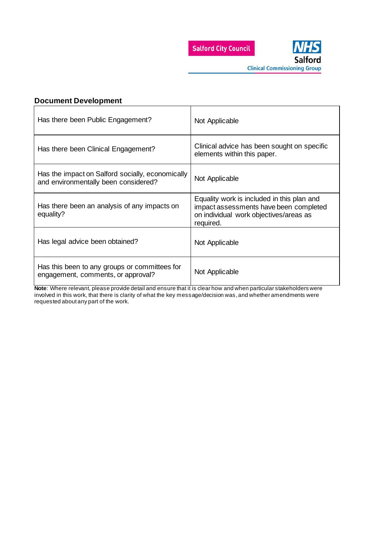



**Clinical Commissioning Group** 

### **Document Development**

| Has there been Public Engagement?                                                        | Not Applicable                                                                                                                              |
|------------------------------------------------------------------------------------------|---------------------------------------------------------------------------------------------------------------------------------------------|
| Has there been Clinical Engagement?                                                      | Clinical advice has been sought on specific<br>elements within this paper.                                                                  |
| Has the impact on Salford socially, economically<br>and environmentally been considered? | Not Applicable                                                                                                                              |
| Has there been an analysis of any impacts on<br>equality?                                | Equality work is included in this plan and<br>impact assessments have been completed<br>on individual work objectives/areas as<br>required. |
| Has legal advice been obtained?                                                          | Not Applicable                                                                                                                              |
| Has this been to any groups or committees for<br>engagement, comments, or approval?      | Not Applicable                                                                                                                              |

**Note**: Where relevant, please provide detail and ensure that it is clear how and when particular stakeholders were involved in this work, that there is clarity of what the key message/decision was, and whether amendments were requested about any part of the work.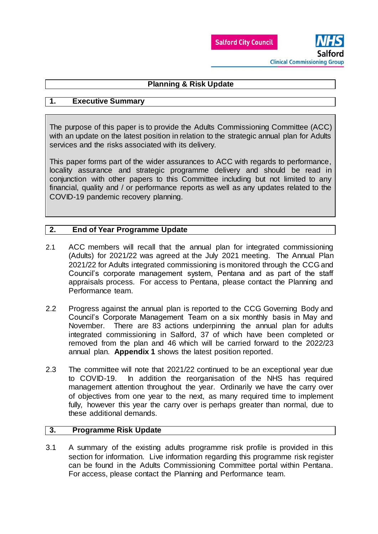



# **Planning & Risk Update**

# **1. Executive Summary**

The purpose of this paper is to provide the Adults Commissioning Committee (ACC) with an update on the latest position in relation to the strategic annual plan for Adults services and the risks associated with its delivery.

This paper forms part of the wider assurances to ACC with regards to performance, locality assurance and strategic programme delivery and should be read in conjunction with other papers to this Committee including but not limited to any financial, quality and / or performance reports as well as any updates related to the COVID-19 pandemic recovery planning.

# **2. End of Year Programme Update**

- 2.1 ACC members will recall that the annual plan for integrated commissioning (Adults) for 2021/22 was agreed at the July 2021 meeting. The Annual Plan 2021/22 for Adults integrated commissioning is monitored through the CCG and Council's corporate management system, Pentana and as part of the staff appraisals process. For access to Pentana, please contact the Planning and Performance team.
- 2.2 Progress against the annual plan is reported to the CCG Governing Body and Council's Corporate Management Team on a six monthly basis in May and November. There are 83 actions underpinning the annual plan for adults integrated commissioning in Salford, 37 of which have been completed or removed from the plan and 46 which will be carried forward to the 2022/23 annual plan. **Appendix 1** shows the latest position reported.
- 2.3 The committee will note that 2021/22 continued to be an exceptional year due to COVID-19. In addition the reorganisation of the NHS has required management attention throughout the year. Ordinarily we have the carry over of objectives from one year to the next, as many required time to implement fully, however this year the carry over is perhaps greater than normal, due to these additional demands.

### **3. Programme Risk Update**

3.1 A summary of the existing adults programme risk profile is provided in this section for information. Live information regarding this programme risk register can be found in the Adults Commissioning Committee portal within Pentana. For access, please contact the Planning and Performance team.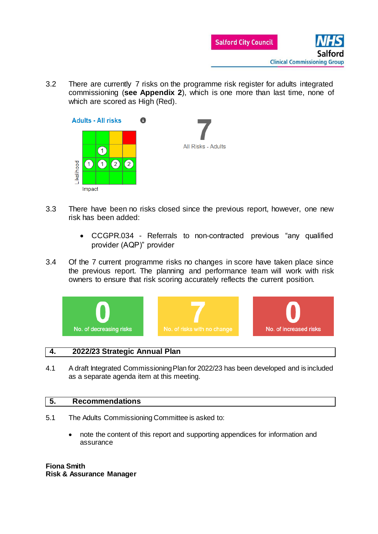

3.2 There are currently 7 risks on the programme risk register for adults integrated commissioning (**see Appendix 2**), which is one more than last time, none of which are scored as High (Red).



- 3.3 There have been no risks closed since the previous report, however, one new risk has been added:
	- CCGPR.034 Referrals to non-contracted previous "any qualified provider (AQP)" provider
- 3.4 Of the 7 current programme risks no changes in score have taken place since the previous report. The planning and performance team will work with risk owners to ensure that risk scoring accurately reflects the current position.



### **4. 2022/23 Strategic Annual Plan**

4.1 A draft Integrated Commissioning Plan for 2022/23 has been developed and is included as a separate agenda item at this meeting.

### **5. Recommendations**

- 5.1 The Adults Commissioning Committee is asked to:
	- note the content of this report and supporting appendices for information and assurance

**Fiona Smith Risk & Assurance Manager**